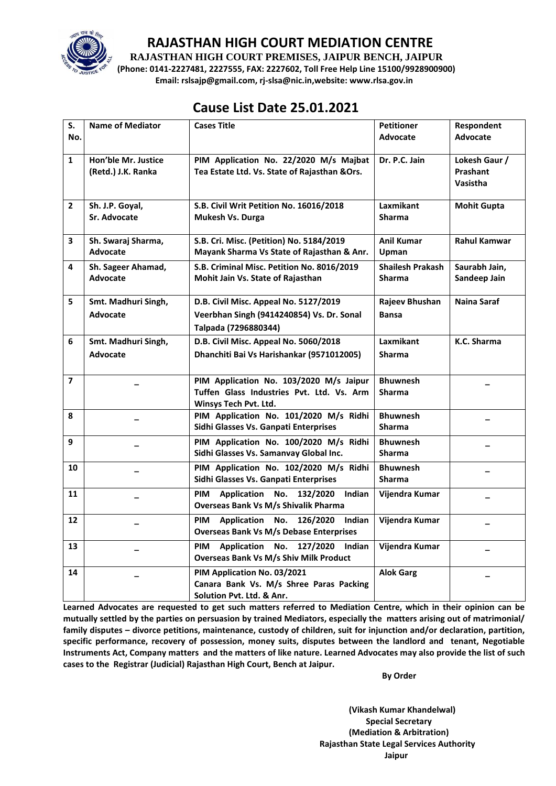

#### **RAJASTHAN HIGH COURT MEDIATION CENTRE**

**RAJASTHAN HIGH COURT PREMISES, JAIPUR BENCH, JAIPUR**

**(Phone: 0141-2227481, 2227555, FAX: 2227602, Toll Free Help Line 15100/9928900900) Email: rslsajp@gmail.com, rj-slsa@nic.in,website: www.rlsa.gov.in**

## **Cause List Date 25.01.2021**

| S.             | <b>Name of Mediator</b>                   | <b>Cases Title</b>                                                                                            | <b>Petitioner</b>                        | Respondent                            |
|----------------|-------------------------------------------|---------------------------------------------------------------------------------------------------------------|------------------------------------------|---------------------------------------|
| No.            |                                           |                                                                                                               | <b>Advocate</b>                          | Advocate                              |
| $\mathbf{1}$   | Hon'ble Mr. Justice<br>(Retd.) J.K. Ranka | PIM Application No. 22/2020 M/s Majbat<br>Tea Estate Ltd. Vs. State of Rajasthan & Ors.                       | Dr. P.C. Jain                            | Lokesh Gaur /<br>Prashant<br>Vasistha |
| $\overline{2}$ | Sh. J.P. Goyal,<br><b>Sr. Advocate</b>    | S.B. Civil Writ Petition No. 16016/2018<br>Mukesh Vs. Durga                                                   | Laxmikant<br><b>Sharma</b>               | <b>Mohit Gupta</b>                    |
| 3              | Sh. Swaraj Sharma,<br><b>Advocate</b>     | S.B. Cri. Misc. (Petition) No. 5184/2019<br>Mayank Sharma Vs State of Rajasthan & Anr.                        | <b>Anil Kumar</b><br>Upman               | <b>Rahul Kamwar</b>                   |
| 4              | Sh. Sageer Ahamad,<br>Advocate            | S.B. Criminal Misc. Petition No. 8016/2019<br>Mohit Jain Vs. State of Rajasthan                               | <b>Shailesh Prakash</b><br><b>Sharma</b> | Saurabh Jain,<br>Sandeep Jain         |
| 5              | Smt. Madhuri Singh,<br>Advocate           | D.B. Civil Misc. Appeal No. 5127/2019<br>Veerbhan Singh (9414240854) Vs. Dr. Sonal<br>Talpada (7296880344)    | Rajeev Bhushan<br><b>Bansa</b>           | Naina Saraf                           |
| 6              | Smt. Madhuri Singh,<br><b>Advocate</b>    | D.B. Civil Misc. Appeal No. 5060/2018<br>Dhanchiti Bai Vs Harishankar (9571012005)                            | <b>Laxmikant</b><br><b>Sharma</b>        | K.C. Sharma                           |
| $\overline{7}$ |                                           | PIM Application No. 103/2020 M/s Jaipur<br>Tuffen Glass Industries Pvt. Ltd. Vs. Arm<br>Winsys Tech Pvt. Ltd. | <b>Bhuwnesh</b><br><b>Sharma</b>         |                                       |
| 8              |                                           | PIM Application No. 101/2020 M/s Ridhi<br>Sidhi Glasses Vs. Ganpati Enterprises                               | <b>Bhuwnesh</b><br>Sharma                |                                       |
| 9              |                                           | PIM Application No. 100/2020 M/s Ridhi<br>Sidhi Glasses Vs. Samanvay Global Inc.                              | <b>Bhuwnesh</b><br><b>Sharma</b>         |                                       |
| 10             |                                           | PIM Application No. 102/2020 M/s Ridhi<br>Sidhi Glasses Vs. Ganpati Enterprises                               | <b>Bhuwnesh</b><br><b>Sharma</b>         |                                       |
| 11             |                                           | <b>PIM</b><br>Application No.<br>132/2020<br>Indian<br><b>Overseas Bank Vs M/s Shivalik Pharma</b>            | Vijendra Kumar                           |                                       |
| 12             |                                           | Application No.<br>126/2020<br><b>PIM</b><br>Indian<br><b>Overseas Bank Vs M/s Debase Enterprises</b>         | Vijendra Kumar                           |                                       |
| 13             |                                           | Application No.<br>127/2020 Indian<br>PIM<br><b>Overseas Bank Vs M/s Shiv Milk Product</b>                    | Vijendra Kumar                           |                                       |
| 14             |                                           | PIM Application No. 03/2021<br>Canara Bank Vs. M/s Shree Paras Packing<br>Solution Pvt. Ltd. & Anr.           | <b>Alok Garg</b>                         |                                       |

**Learned Advocates are requested to get such matters referred to Mediation Centre, which in their opinion can be mutually settled by the parties on persuasion by trained Mediators, especially the matters arising out of matrimonial/ family disputes – divorce petitions, maintenance, custody of children, suit for injunction and/or declaration, partition, specific performance, recovery of possession, money suits, disputes between the landlord and tenant, Negotiable Instruments Act, Company matters and the matters of like nature. Learned Advocates may also provide the list of such cases to the Registrar (Judicial) Rajasthan High Court, Bench at Jaipur.** 

 **By Order** 

**(Vikash Kumar Khandelwal) Special Secretary (Mediation & Arbitration) Rajasthan State Legal Services Authority Jaipur**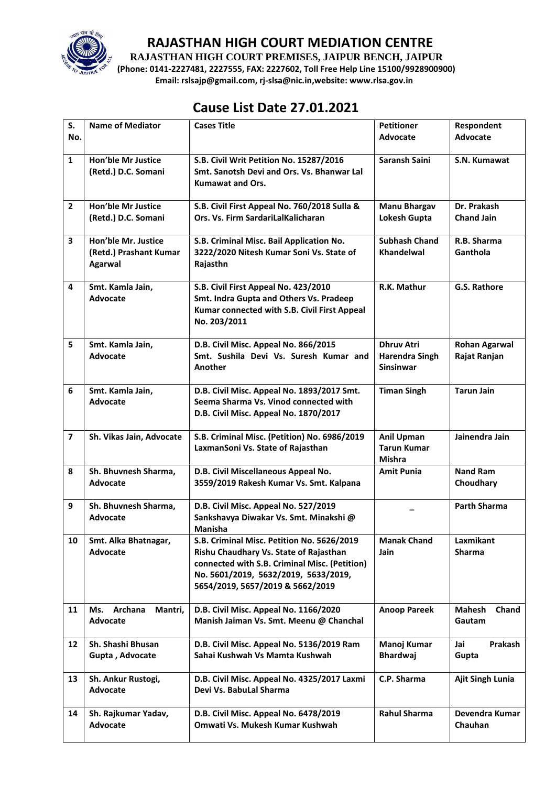

### **RAJASTHAN HIGH COURT MEDIATION CENTRE**

**RAJASTHAN HIGH COURT PREMISES, JAIPUR BENCH, JAIPUR**

**(Phone: 0141-2227481, 2227555, FAX: 2227602, Toll Free Help Line 15100/9928900900) Email: rslsajp@gmail.com, rj-slsa@nic.in,website: www.rlsa.gov.in**

# **Cause List Date 27.01.2021**

| S.                      | <b>Name of Mediator</b>                                         | <b>Cases Title</b>                                                                                                                                                                                                | <b>Petitioner</b>                                              | Respondent<br>Advocate               |
|-------------------------|-----------------------------------------------------------------|-------------------------------------------------------------------------------------------------------------------------------------------------------------------------------------------------------------------|----------------------------------------------------------------|--------------------------------------|
| No.                     |                                                                 |                                                                                                                                                                                                                   | <b>Advocate</b>                                                |                                      |
| $\mathbf{1}$            | <b>Hon'ble Mr Justice</b><br>(Retd.) D.C. Somani                | S.B. Civil Writ Petition No. 15287/2016<br>Smt. Sanotsh Devi and Ors. Vs. Bhanwar Lal<br><b>Kumawat and Ors.</b>                                                                                                  | Saransh Saini                                                  | S.N. Kumawat                         |
| $\overline{2}$          | <b>Hon'ble Mr Justice</b><br>(Retd.) D.C. Somani                | S.B. Civil First Appeal No. 760/2018 Sulla &<br>Ors. Vs. Firm SardariLalKalicharan                                                                                                                                | <b>Manu Bhargav</b><br>Lokesh Gupta                            | Dr. Prakash<br><b>Chand Jain</b>     |
| $\overline{\mathbf{3}}$ | Hon'ble Mr. Justice<br>(Retd.) Prashant Kumar<br><b>Agarwal</b> | S.B. Criminal Misc. Bail Application No.<br>3222/2020 Nitesh Kumar Soni Vs. State of<br>Rajasthn                                                                                                                  | <b>Subhash Chand</b><br><b>Khandelwal</b>                      | R.B. Sharma<br>Ganthola              |
| 4                       | Smt. Kamla Jain,<br><b>Advocate</b>                             | S.B. Civil First Appeal No. 423/2010<br>Smt. Indra Gupta and Others Vs. Pradeep<br>Kumar connected with S.B. Civil First Appeal<br>No. 203/2011                                                                   | R.K. Mathur                                                    | G.S. Rathore                         |
| 5                       | Smt. Kamla Jain,<br><b>Advocate</b>                             | D.B. Civil Misc. Appeal No. 866/2015<br>Smt. Sushila Devi Vs. Suresh Kumar and<br>Another                                                                                                                         | <b>Dhruv Atri</b><br><b>Harendra Singh</b><br><b>Sinsinwar</b> | <b>Rohan Agarwal</b><br>Rajat Ranjan |
| 6                       | Smt. Kamla Jain,<br><b>Advocate</b>                             | D.B. Civil Misc. Appeal No. 1893/2017 Smt.<br>Seema Sharma Vs. Vinod connected with<br>D.B. Civil Misc. Appeal No. 1870/2017                                                                                      | <b>Timan Singh</b>                                             | <b>Tarun Jain</b>                    |
| $\overline{7}$          | Sh. Vikas Jain, Advocate                                        | S.B. Criminal Misc. (Petition) No. 6986/2019<br>LaxmanSoni Vs. State of Rajasthan                                                                                                                                 | <b>Anil Upman</b><br><b>Tarun Kumar</b><br><b>Mishra</b>       | Jainendra Jain                       |
| 8                       | Sh. Bhuvnesh Sharma,<br>Advocate                                | D.B. Civil Miscellaneous Appeal No.<br>3559/2019 Rakesh Kumar Vs. Smt. Kalpana                                                                                                                                    | <b>Amit Punia</b>                                              | <b>Nand Ram</b><br>Choudhary         |
| 9                       | Sh. Bhuvnesh Sharma,<br><b>Advocate</b>                         | D.B. Civil Misc. Appeal No. 527/2019<br>Sankshavya Diwakar Vs. Smt. Minakshi @<br>Manisha                                                                                                                         |                                                                | <b>Parth Sharma</b>                  |
| 10                      | Smt. Alka Bhatnagar,<br><b>Advocate</b>                         | S.B. Criminal Misc. Petition No. 5626/2019<br>Rishu Chaudhary Vs. State of Rajasthan<br>connected with S.B. Criminal Misc. (Petition)<br>No. 5601/2019, 5632/2019, 5633/2019,<br>5654/2019, 5657/2019 & 5662/2019 | <b>Manak Chand</b><br>Jain                                     | Laxmikant<br><b>Sharma</b>           |
| 11                      | Archana<br>Ms.<br>Mantri,<br>Advocate                           | D.B. Civil Misc. Appeal No. 1166/2020<br>Manish Jaiman Vs. Smt. Meenu @ Chanchal                                                                                                                                  | <b>Anoop Pareek</b>                                            | <b>Mahesh</b><br>Chand<br>Gautam     |
| 12                      | Sh. Shashi Bhusan<br>Gupta, Advocate                            | D.B. Civil Misc. Appeal No. 5136/2019 Ram<br>Sahai Kushwah Vs Mamta Kushwah                                                                                                                                       | Manoj Kumar<br><b>Bhardwaj</b>                                 | Prakash<br>Jai<br>Gupta              |
| 13                      | Sh. Ankur Rustogi,<br><b>Advocate</b>                           | D.B. Civil Misc. Appeal No. 4325/2017 Laxmi<br>Devi Vs. BabuLal Sharma                                                                                                                                            | C.P. Sharma                                                    | <b>Ajit Singh Lunia</b>              |
| 14                      | Sh. Rajkumar Yadav,<br>Advocate                                 | D.B. Civil Misc. Appeal No. 6478/2019<br>Omwati Vs. Mukesh Kumar Kushwah                                                                                                                                          | <b>Rahul Sharma</b>                                            | Devendra Kumar<br>Chauhan            |